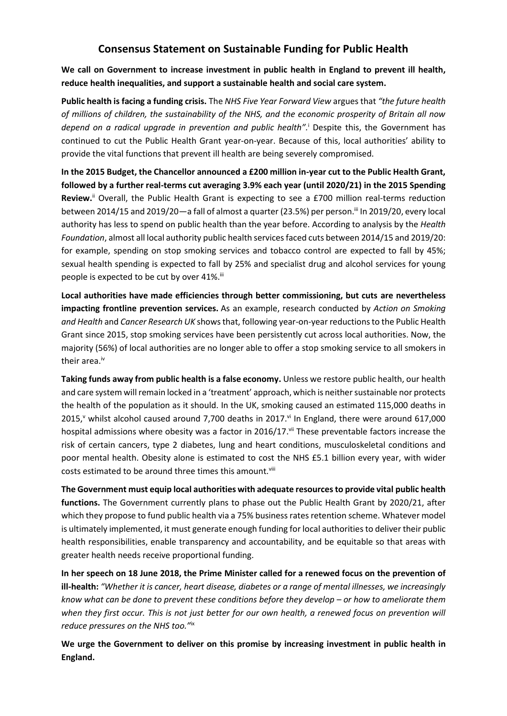## **Consensus Statement on Sustainable Funding for Public Health**

**We call on Government to increase investment in public health in England to prevent ill health, reduce health inequalities, and support a sustainable health and social care system.**

**Public health is facing a funding crisis.** The *NHS Five Year Forward View* argues that *"the future health of millions of children, the sustainability of the NHS, and the economic prosperity of Britain all now depend on a radical upgrade in prevention and public health".* <sup>i</sup> Despite this, the Government has continued to cut the Public Health Grant year-on-year. Because of this, local authorities' ability to provide the vital functions that prevent ill health are being severely compromised.

<span id="page-0-0"></span>**In the 2015 Budget, the Chancellor announced a £200 million in-year cut to the Public Health Grant, followed by a further real-terms cut averaging 3.9% each year (until 2020/21) in the 2015 Spending Review.**ii Overall, the Public Health Grant is expecting to see a £700 million real-terms reduction between 2014/15 and 2019/20—a fall of almost a quarter (23.5%) per person.<sup>iii</sup> In 2019/20, every local authority has less to spend on public health than the year before. According to analysis by the *Health Foundation*, almost all local authority public health services faced cuts between 2014/15 and 2019/20: for example, spending on stop smoking services and tobacco control are expected to fall by 45%; sexual health spending is expected to fall by 25% and specialist drug and alcohol services for young people is expected to be cut by over 41%.

**Local authorities have made efficiencies through better commissioning, but cuts are nevertheless impacting frontline prevention services.** As an example, research conducted by *Action on Smoking and Health* and *Cancer Research UK* shows that, following year-on-year reductions to the Public Health Grant since 2015, stop smoking services have been persistently cut across local authorities. Now, the majority (56%) of local authorities are no longer able to offer a stop smoking service to all smokers in their area.<sup>iv</sup>

**Taking funds away from public health is a false economy.** Unless we restore public health, our health and care system will remain locked in a 'treatment' approach, which is neither sustainable nor protects the health of the population as it should. In the UK, smoking caused an estimated 115,000 deaths in  $2015$ , whilst alcohol caused around 7,700 deaths in 2017. $\mathrm{v}$  In England, there were around 617,000 hospital admissions where obesity was a factor in 2016/17. Vil These preventable factors increase the risk of certain cancers, type 2 diabetes, lung and heart conditions, musculoskeletal conditions and poor mental health. Obesity alone is estimated to cost the NHS £5.1 billion every year, with wider costs estimated to be around three times this amount.<sup>viii</sup>

**The Government must equip local authorities with adequate resources to provide vital public health functions.** The Government currently plans to phase out the Public Health Grant by 2020/21, after which they propose to fund public health via a 75% business rates retention scheme. Whatever model is ultimately implemented, it must generate enough funding for local authorities to deliver their public health responsibilities, enable transparency and accountability, and be equitable so that areas with greater health needs receive proportional funding.

**In her speech on 18 June 2018, the Prime Minister called for a renewed focus on the prevention of ill-health:** *"Whether it is cancer, heart disease, diabetes or a range of mental illnesses, we increasingly know what can be done to prevent these conditions before they develop – or how to ameliorate them when they first occur. This is not just better for our own health, a renewed focus on prevention will reduce pressures on the NHS too."*ix

**We urge the Government to deliver on this promise by increasing investment in public health in England.**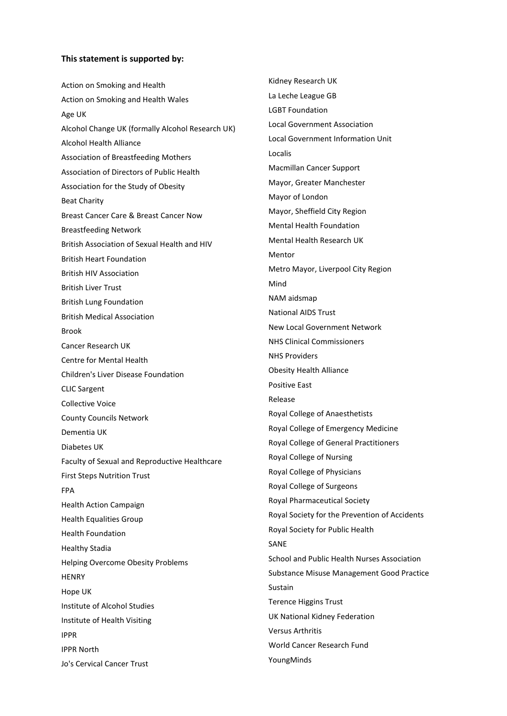## **This statement is supported by:**

Action on Smoking and Health Action on Smoking and Health Wales Age UK Alcohol Change UK (formally Alcohol Research UK) Alcohol Health Alliance Association of Breastfeeding Mothers Association of Directors of Public Health Association for the Study of Obesity Beat Charity Breast Cancer Care & Breast Cancer Now Breastfeeding Network British Association of Sexual Health and HIV British Heart Foundation British HIV Association British Liver Trust British Lung Foundation British Medical Association Brook Cancer Research UK Centre for Mental Health Children's Liver Disease Foundation CLIC Sargent Collective Voice County Councils Network Dementia UK Diabetes UK Faculty of Sexual and Reproductive Healthcare First Steps Nutrition Trust FPA Health Action Campaign Health Equalities Group Health Foundation Healthy Stadia Helping Overcome Obesity Problems **HENRY** Hope UK Institute of Alcohol Studies Institute of Health Visiting IPPR IPPR North Jo's Cervical Cancer Trust

Kidney Research UK La Leche League GB LGBT Foundation Local Government Association Local Government Information Unit Localis Macmillan Cancer Support Mayor, Greater Manchester Mayor of London Mayor, Sheffield City Region Mental Health Foundation Mental Health Research UK Mentor Metro Mayor, Liverpool City Region Mind NAM aidsmap National AIDS Trust New Local Government Network NHS Clinical Commissioners NHS Providers Obesity Health Alliance Positive East Release Royal College of Anaesthetists Royal College of Emergency Medicine Royal College of General Practitioners Royal College of Nursing Royal College of Physicians Royal College of Surgeons Royal Pharmaceutical Society Royal Society for the Prevention of Accidents Royal Society for Public Health SANE School and Public Health Nurses Association Substance Misuse Management Good Practice Sustain Terence Higgins Trust UK National Kidney Federation Versus Arthritis World Cancer Research Fund YoungMinds